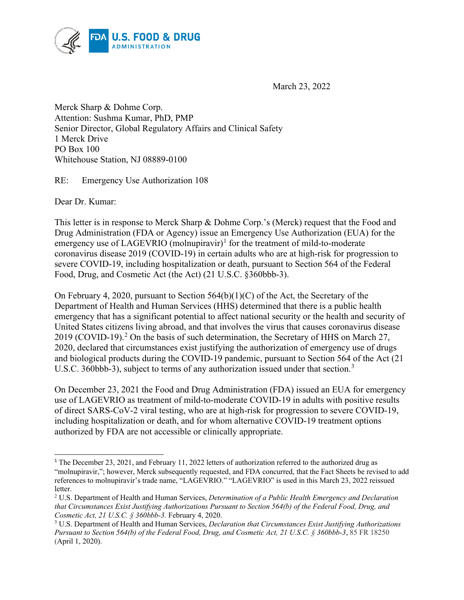

March 23, 2022

Merck Sharp & Dohme Corp. Attention: Sushma Kumar, PhD, PMP Senior Director, Global Regulatory Affairs and Clinical Safety 1 Merck Drive PO Box 100 Whitehouse Station, NJ 08889-0100

RE: Emergency Use Authorization 108

Dear Dr. Kumar:

This letter is in response to Merck Sharp & Dohme Corp.'s (Merck) request that the Food and Drug Administration (FDA or Agency) issue an Emergency Use Authorization (EUA) for the emergency use of LAGEVRIO (molnupiravir)<sup>[1](#page-0-0)</sup> for the treatment of mild-to-moderate coronavirus disease 2019 (COVID-19) in certain adults who are at high-risk for progression to severe COVID-19, including hospitalization or death, pursuant to Section 564 of the Federal Food, Drug, and Cosmetic Act (the Act) (21 U.S.C. §360bbb-3).

On February 4, 2020, pursuant to Section 564(b)(1)(C) of the Act, the Secretary of the Department of Health and Human Services (HHS) determined that there is a public health emergency that has a significant potential to affect national security or the health and security of United States citizens living abroad, and that involves the virus that causes coronavirus disease [2](#page-0-1)019 (COVID-19).<sup>2</sup> On the basis of such determination, the Secretary of HHS on March 27, 2020, declared that circumstances exist justifying the authorization of emergency use of drugs and biological products during the COVID-19 pandemic, pursuant to Section 564 of the Act (21 U.S.C. [3](#page-0-2)60bbb-3), subject to terms of any authorization issued under that section.<sup>3</sup>

On December 23, 2021 the Food and Drug Administration (FDA) issued an EUA for emergency use of LAGEVRIO as treatment of mild-to-moderate COVID-19 in adults with positive results of direct SARS-CoV-2 viral testing, who are at high-risk for progression to severe COVID-19, including hospitalization or death, and for whom alternative COVID-19 treatment options authorized by FDA are not accessible or clinically appropriate.

<span id="page-0-0"></span><sup>&</sup>lt;sup>1</sup> The December 23, 2021, and February 11, 2022 letters of authorization referred to the authorized drug as "molnupiravir,"; however, Merck subsequently requested, and FDA concurred, that the Fact Sheets be revised to add references to molnupiravir's trade name, "LAGEVRIO." "LAGEVRIO" is used in this March 23, 2022 reissued letter.

<span id="page-0-1"></span><sup>2</sup> U.S. Department of Health and Human Services, *Determination of a Public Health Emergency and Declaration that Circumstances Exist Justifying Authorizations Pursuant to Section 564(b) of the Federal Food, Drug, and Cosmetic Act, 21 U.S.C. § 360bbb-3.* February 4, 2020.

<span id="page-0-2"></span><sup>3</sup> U.S. Department of Health and Human Services, *Declaration that Circumstances Exist Justifying Authorizations Pursuant to Section 564(b) of the Federal Food, Drug, and Cosmetic Act, 21 U.S.C. § 360bbb-3*, 85 FR 18250 (April 1, 2020).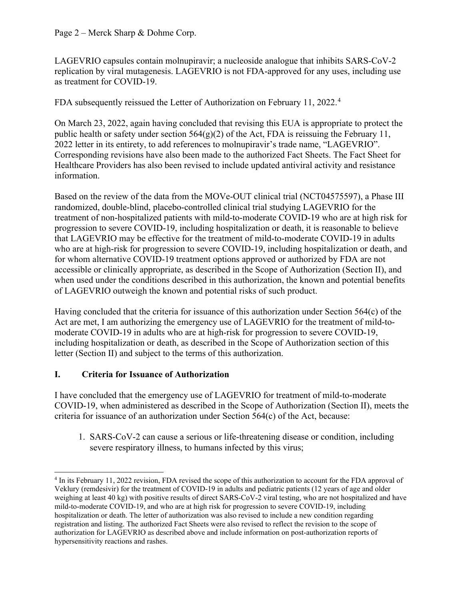### Page 2 – Merck Sharp & Dohme Corp.

LAGEVRIO capsules contain molnupiravir; a nucleoside analogue that inhibits SARS-CoV-2 replication by viral mutagenesis. LAGEVRIO is not FDA-approved for any uses, including use as treatment for COVID-19.

FDA subsequently reissued the Letter of Authorization on February 11, 2022.<sup>[4](#page-1-0)</sup>

On March 23, 2022, again having concluded that revising this EUA is appropriate to protect the public health or safety under section  $564(g)(2)$  of the Act, FDA is reissuing the February 11, 2022 letter in its entirety, to add references to molnupiravir's trade name, "LAGEVRIO". Corresponding revisions have also been made to the authorized Fact Sheets. The Fact Sheet for Healthcare Providers has also been revised to include updated antiviral activity and resistance information.

Based on the review of the data from the MOVe-OUT clinical trial (NCT04575597), a Phase III randomized, double-blind, placebo-controlled clinical trial studying LAGEVRIO for the treatment of non-hospitalized patients with mild-to-moderate COVID-19 who are at high risk for progression to severe COVID-19, including hospitalization or death, it is reasonable to believe that LAGEVRIO may be effective for the treatment of mild-to-moderate COVID-19 in adults who are at high-risk for progression to severe COVID-19, including hospitalization or death, and for whom alternative COVID-19 treatment options approved or authorized by FDA are not accessible or clinically appropriate, as described in the Scope of Authorization (Section II), and when used under the conditions described in this authorization, the known and potential benefits of LAGEVRIO outweigh the known and potential risks of such product.

Having concluded that the criteria for issuance of this authorization under Section 564(c) of the Act are met, I am authorizing the emergency use of LAGEVRIO for the treatment of mild-tomoderate COVID-19 in adults who are at high-risk for progression to severe COVID-19, including hospitalization or death, as described in the Scope of Authorization section of this letter (Section II) and subject to the terms of this authorization.

# **I. Criteria for Issuance of Authorization**

I have concluded that the emergency use of LAGEVRIO for treatment of mild-to-moderate COVID-19, when administered as described in the Scope of Authorization (Section II), meets the criteria for issuance of an authorization under Section 564(c) of the Act, because:

1. SARS-CoV-2 can cause a serious or life-threatening disease or condition, including severe respiratory illness, to humans infected by this virus;

<span id="page-1-0"></span><sup>4</sup> In its February 11, 2022 revision, FDA revised the scope of this authorization to account for the FDA approval of Veklury (remdesivir) for the treatment of COVID-19 in adults and pediatric patients (12 years of age and older weighing at least 40 kg) with positive results of direct SARS-CoV-2 viral testing, who are not hospitalized and have mild-to-moderate COVID-19, and who are at high risk for progression to severe COVID-19, including hospitalization or death. The letter of authorization was also revised to include a new condition regarding registration and listing. The authorized Fact Sheets were also revised to reflect the revision to the scope of authorization for LAGEVRIO as described above and include information on post-authorization reports of hypersensitivity reactions and rashes.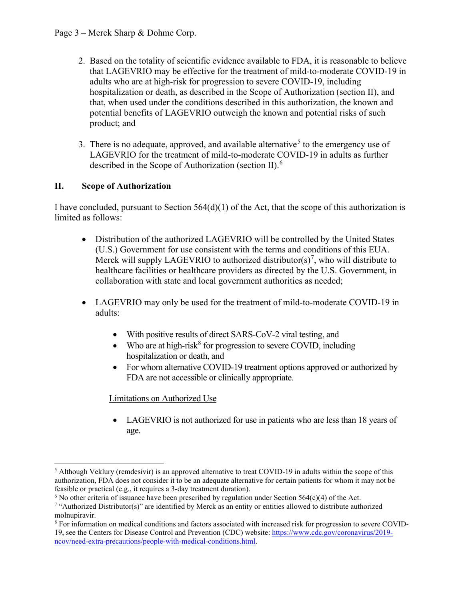- 2. Based on the totality of scientific evidence available to FDA, it is reasonable to believe that LAGEVRIO may be effective for the treatment of mild-to-moderate COVID-19 in adults who are at high-risk for progression to severe COVID-19, including hospitalization or death, as described in the Scope of Authorization (section II), and that, when used under the conditions described in this authorization, the known and potential benefits of LAGEVRIO outweigh the known and potential risks of such product; and
- 3. There is no adequate, approved, and available alternative<sup>[5](#page-2-0)</sup> to the emergency use of LAGEVRIO for the treatment of mild-to-moderate COVID-19 in adults as further described in the Scope of Authorization (section II).[6](#page-2-1)

## **II. Scope of Authorization**

I have concluded, pursuant to Section 564(d)(1) of the Act, that the scope of this authorization is limited as follows:

- Distribution of the authorized LAGEVRIO will be controlled by the United States (U.S.) Government for use consistent with the terms and conditions of this EUA. Merck will supply LAGEVRIO to authorized distributor(s)<sup>[7](#page-2-2)</sup>, who will distribute to healthcare facilities or healthcare providers as directed by the U.S. Government, in collaboration with state and local government authorities as needed;
- LAGEVRIO may only be used for the treatment of mild-to-moderate COVID-19 in adults:
	- With positive results of direct SARS-CoV-2 viral testing, and
	- Who are at high-risk $8$  for progression to severe COVID, including hospitalization or death, and
	- For whom alternative COVID-19 treatment options approved or authorized by FDA are not accessible or clinically appropriate.

### Limitations on Authorized Use

• LAGEVRIO is not authorized for use in patients who are less than 18 years of age.

<span id="page-2-0"></span><sup>&</sup>lt;sup>5</sup> Although Veklury (remdesivir) is an approved alternative to treat COVID-19 in adults within the scope of this authorization, FDA does not consider it to be an adequate alternative for certain patients for whom it may not be feasible or practical (e.g., it requires a 3-day treatment duration).

<span id="page-2-1"></span> $6$  No other criteria of issuance have been prescribed by regulation under Section 564(c)(4) of the Act.

<span id="page-2-2"></span><sup>&</sup>lt;sup>7</sup> "Authorized Distributor(s)" are identified by Merck as an entity or entities allowed to distribute authorized molnupiravir.

<span id="page-2-3"></span><sup>8</sup> For information on medical conditions and factors associated with increased risk for progression to severe COVID-19, see the Centers for Disease Control and Prevention (CDC) website: [https://www.cdc.gov/coronavirus/2019](https://www.cdc.gov/coronavirus/2019-ncov/need-extra-precautions/people-with-medical-conditions.html) [ncov/need-extra-precautions/people-with-medical-conditions.html.](https://www.cdc.gov/coronavirus/2019-ncov/need-extra-precautions/people-with-medical-conditions.html)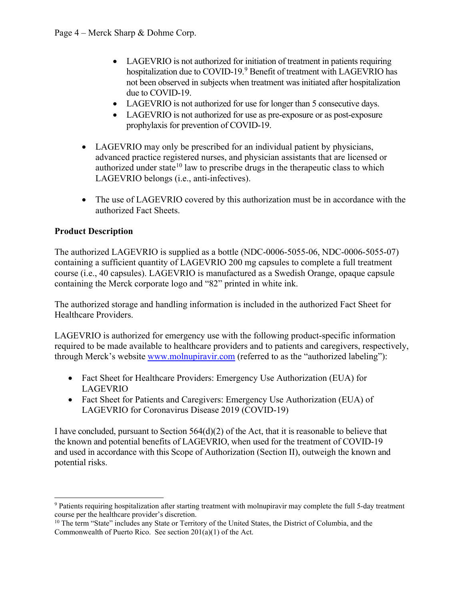- LAGEVRIO is not authorized for initiation of treatment in patients requiring hospitalization due to COVID-1[9](#page-3-0).<sup>9</sup> Benefit of treatment with LAGEVRIO has not been observed in subjects when treatment was initiated after hospitalization due to COVID-19.
- LAGEVRIO is not authorized for use for longer than 5 consecutive days.
- LAGEVRIO is not authorized for use as pre-exposure or as post-exposure prophylaxis for prevention of COVID-19.
- LAGEVRIO may only be prescribed for an individual patient by physicians, advanced practice registered nurses, and physician assistants that are licensed or authorized under state<sup>[10](#page-3-1)</sup> law to prescribe drugs in the therapeutic class to which LAGEVRIO belongs (i.e., anti-infectives).
- The use of LAGEVRIO covered by this authorization must be in accordance with the authorized Fact Sheets.

# **Product Description**

The authorized LAGEVRIO is supplied as a bottle (NDC-0006-5055-06, NDC-0006-5055-07) containing a sufficient quantity of LAGEVRIO 200 mg capsules to complete a full treatment course (i.e., 40 capsules). LAGEVRIO is manufactured as a Swedish Orange, opaque capsule containing the Merck corporate logo and "82" printed in white ink.

The authorized storage and handling information is included in the authorized Fact Sheet for Healthcare Providers.

LAGEVRIO is authorized for emergency use with the following product-specific information required to be made available to healthcare providers and to patients and caregivers, respectively, through Merck's website [www.molnupiravir.com](http://www.molnupiravir.com/) (referred to as the "authorized labeling"):

- Fact Sheet for Healthcare Providers: Emergency Use Authorization (EUA) for LAGEVRIO
- Fact Sheet for Patients and Caregivers: Emergency Use Authorization (EUA) of LAGEVRIO for Coronavirus Disease 2019 (COVID-19)

I have concluded, pursuant to Section  $564(d)(2)$  of the Act, that it is reasonable to believe that the known and potential benefits of LAGEVRIO, when used for the treatment of COVID-19 and used in accordance with this Scope of Authorization (Section II), outweigh the known and potential risks.

<span id="page-3-0"></span><sup>9</sup> Patients requiring hospitalization after starting treatment with molnupiravir may complete the full 5-day treatment course per the healthcare provider's discretion.

<span id="page-3-1"></span><sup>&</sup>lt;sup>10</sup> The term "State" includes any State or Territory of the United States, the District of Columbia, and the Commonwealth of Puerto Rico. See section 201(a)(1) of the Act.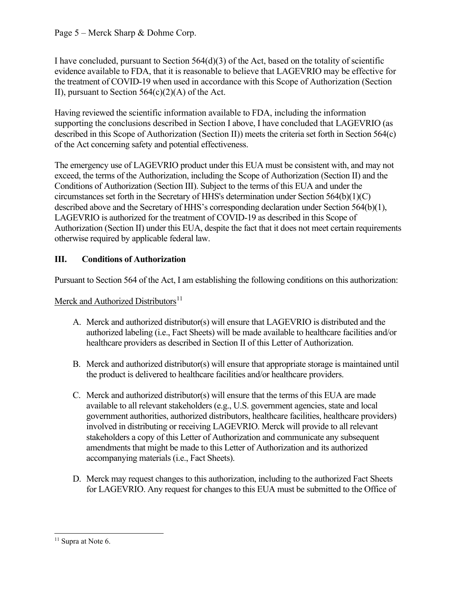## Page 5 – Merck Sharp & Dohme Corp.

I have concluded, pursuant to Section  $564(d)(3)$  of the Act, based on the totality of scientific evidence available to FDA, that it is reasonable to believe that LAGEVRIO may be effective for the treatment of COVID-19 when used in accordance with this Scope of Authorization (Section II), pursuant to Section  $564(c)(2)(A)$  of the Act.

Having reviewed the scientific information available to FDA, including the information supporting the conclusions described in Section I above, I have concluded that LAGEVRIO (as described in this Scope of Authorization (Section II)) meets the criteria set forth in Section 564(c) of the Act concerning safety and potential effectiveness.

The emergency use of LAGEVRIO product under this EUA must be consistent with, and may not exceed, the terms of the Authorization, including the Scope of Authorization (Section II) and the Conditions of Authorization (Section III). Subject to the terms of this EUA and under the circumstances set forth in the Secretary of HHS's determination under Section 564(b)(1)(C) described above and the Secretary of HHS's corresponding declaration under Section 564(b)(1), LAGEVRIO is authorized for the treatment of COVID-19 as described in this Scope of Authorization (Section II) under this EUA, despite the fact that it does not meet certain requirements otherwise required by applicable federal law.

# **III. Conditions of Authorization**

Pursuant to Section 564 of the Act, I am establishing the following conditions on this authorization:

Merck and Authorized Distributors<sup>[11](#page-4-0)</sup>

- A. Merck and authorized distributor(s) will ensure that LAGEVRIO is distributed and the authorized labeling (i.e., Fact Sheets) will be made available to healthcare facilities and/or healthcare providers as described in Section II of this Letter of Authorization.
- B. Merck and authorized distributor(s) will ensure that appropriate storage is maintained until the product is delivered to healthcare facilities and/or healthcare providers.
- C. Merck and authorized distributor(s) will ensure that the terms of this EUA are made available to all relevant stakeholders (e.g., U.S. government agencies, state and local government authorities, authorized distributors, healthcare facilities, healthcare providers) involved in distributing or receiving LAGEVRIO. Merck will provide to all relevant stakeholders a copy of this Letter of Authorization and communicate any subsequent amendments that might be made to this Letter of Authorization and its authorized accompanying materials (i.e., Fact Sheets).
- D. Merck may request changes to this authorization, including to the authorized Fact Sheets for LAGEVRIO. Any request for changes to this EUA must be submitted to the Office of

<span id="page-4-0"></span><sup>&</sup>lt;sup>11</sup> Supra at Note 6.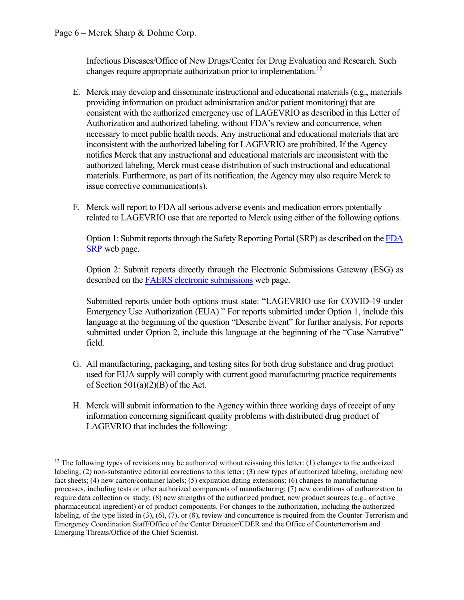Infectious Diseases/Office of New Drugs/Center for Drug Evaluation and Research. Such changes require appropriate authorization prior to implementation.<sup>[12](#page-5-0)</sup>

- E. Merck may develop and disseminate instructional and educational materials (e.g., materials providing information on product administration and/or patient monitoring) that are consistent with the authorized emergency use of LAGEVRIO as described in this Letter of Authorization and authorized labeling, without FDA's review and concurrence, when necessary to meet public health needs. Any instructional and educational materials that are inconsistent with the authorized labeling for LAGEVRIO are prohibited. If the Agency notifies Merck that any instructional and educational materials are inconsistent with the authorized labeling, Merck must cease distribution of such instructional and educational materials. Furthermore, as part of its notification, the Agency may also require Merck to issue corrective communication(s).
- F. Merck will report to FDA all serious adverse events and medication errors potentially related to LAGEVRIO use that are reported to Merck using either of the following options.

Option 1: Submit reports through the Safety Reporting Portal (SRP) as described on the [FDA](https://www.safetyreporting.hhs.gov/SRP2/en/Home.aspx?sid=c51864fa-2307-41b7-8f15-aee06e28c0b9)  [SRP](https://www.safetyreporting.hhs.gov/SRP2/en/Home.aspx?sid=c51864fa-2307-41b7-8f15-aee06e28c0b9) web page.

Option 2: Submit reports directly through the Electronic Submissions Gateway (ESG) as described on the [FAERS electronic submissions](https://www.fda.gov/drugs/questions-and-answers-fdas-adverse-event-reporting-system-faers/fda-adverse-event-reporting-system-faers-electronic-submissions) web page.

Submitted reports under both options must state: "LAGEVRIO use for COVID-19 under Emergency Use Authorization (EUA)." For reports submitted under Option 1, include this language at the beginning of the question "Describe Event" for further analysis. For reports submitted under Option 2, include this language at the beginning of the "Case Narrative" field.

- G. All manufacturing, packaging, and testing sites for both drug substance and drug product used for EUA supply will comply with current good manufacturing practice requirements of Section  $501(a)(2)(B)$  of the Act.
- H. Merck will submit information to the Agency within three working days of receipt of any information concerning significant quality problems with distributed drug product of LAGEVRIO that includes the following:

<span id="page-5-0"></span> $12$  The following types of revisions may be authorized without reissuing this letter: (1) changes to the authorized labeling; (2) non-substantive editorial corrections to this letter; (3) new types of authorized labeling, including new fact sheets; (4) new carton/container labels; (5) expiration dating extensions; (6) changes to manufacturing processes, including tests or other authorized components of manufacturing; (7) new conditions of authorization to require data collection or study; (8) new strengths of the authorized product, new product sources (e.g., of active pharmaceutical ingredient) or of product components. For changes to the authorization, including the authorized labeling, of the type listed in (3), (6), (7), or (8), review and concurrence is required from the Counter-Terrorism and Emergency Coordination Staff/Office of the Center Director/CDER and the Office of Counterterrorism and Emerging Threats/Office of the Chief Scientist.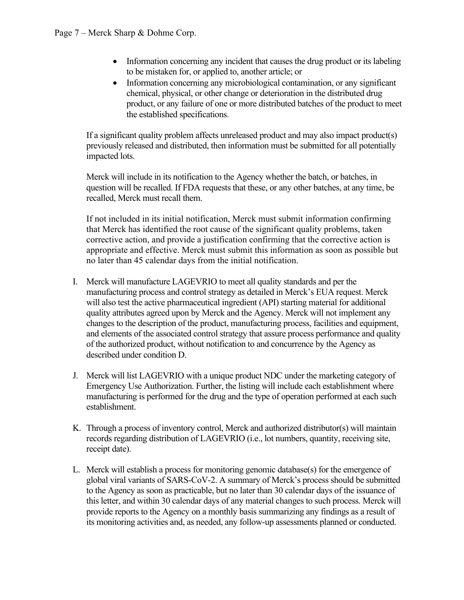- Information concerning any incident that causes the drug product or its labeling to be mistaken for, or applied to, another article; or
- Information concerning any microbiological contamination, or any significant chemical, physical, or other change or deterioration in the distributed drug product, or any failure of one or more distributed batches of the product to meet the established specifications.

If a significant quality problem affects unreleased product and may also impact product(s) previously released and distributed, then information must be submitted for all potentially impacted lots.

Merck will include in its notification to the Agency whether the batch, or batches, in question will be recalled. If FDA requests that these, or any other batches, at any time, be recalled, Merck must recall them.

If not included in its initial notification, Merck must submit information confirming that Merck has identified the root cause of the significant quality problems, taken corrective action, and provide a justification confirming that the corrective action is appropriate and effective. Merck must submit this information as soon as possible but no later than 45 calendar days from the initial notification.

- I. Merck will manufacture LAGEVRIO to meet all quality standards and per the manufacturing process and control strategy as detailed in Merck's EUA request. Merck will also test the active pharmaceutical ingredient (API) starting material for additional quality attributes agreed upon by Merck and the Agency. Merck will not implement any changes to the description of the product, manufacturing process, facilities and equipment, and elements of the associated control strategy that assure process performance and quality of the authorized product, without notification to and concurrence by the Agency as described under condition D.
- J. Merck will list LAGEVRIO with a unique product NDC under the marketing category of Emergency Use Authorization. Further, the listing will include each establishment where manufacturing is performed for the drug and the type of operation performed at each such establishment.
- K. Through a process of inventory control, Merck and authorized distributor(s) will maintain records regarding distribution of LAGEVRIO (i.e., lot numbers, quantity, receiving site, receipt date).
- L. Merck will establish a process for monitoring genomic database(s) for the emergence of global viral variants of SARS-CoV-2. A summary of Merck's process should be submitted to the Agency as soon as practicable, but no later than 30 calendar days of the issuance of this letter, and within 30 calendar days of any material changes to such process. Merck will provide reports to the Agency on a monthly basis summarizing any findings as a result of its monitoring activities and, as needed, any follow-up assessments planned or conducted.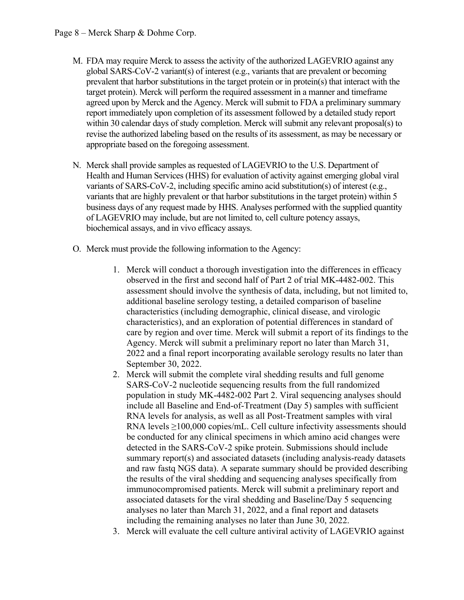- M. FDA may require Merck to assess the activity of the authorized LAGEVRIO against any global SARS-CoV-2 variant(s) of interest (e.g., variants that are prevalent or becoming prevalent that harbor substitutions in the target protein or in protein(s) that interact with the target protein). Merck will perform the required assessment in a manner and timeframe agreed upon by Merck and the Agency. Merck will submit to FDA a preliminary summary report immediately upon completion of its assessment followed by a detailed study report within 30 calendar days of study completion. Merck will submit any relevant proposal(s) to revise the authorized labeling based on the results of its assessment, as may be necessary or appropriate based on the foregoing assessment.
- N. Merck shall provide samples as requested of LAGEVRIO to the U.S. Department of Health and Human Services (HHS) for evaluation of activity against emerging global viral variants of SARS-CoV-2, including specific amino acid substitution(s) of interest (e.g., variants that are highly prevalent or that harbor substitutions in the target protein) within 5 business days of any request made by HHS. Analyses performed with the supplied quantity of LAGEVRIO may include, but are not limited to, cell culture potency assays, biochemical assays, and in vivo efficacy assays.
- O. Merck must provide the following information to the Agency:
	- 1. Merck will conduct a thorough investigation into the differences in efficacy observed in the first and second half of Part 2 of trial MK-4482-002. This assessment should involve the synthesis of data, including, but not limited to, additional baseline serology testing, a detailed comparison of baseline characteristics (including demographic, clinical disease, and virologic characteristics), and an exploration of potential differences in standard of care by region and over time. Merck will submit a report of its findings to the Agency. Merck will submit a preliminary report no later than March 31, 2022 and a final report incorporating available serology results no later than September 30, 2022.
	- 2. Merck will submit the complete viral shedding results and full genome SARS-CoV-2 nucleotide sequencing results from the full randomized population in study MK-4482-002 Part 2. Viral sequencing analyses should include all Baseline and End-of-Treatment (Day 5) samples with sufficient RNA levels for analysis, as well as all Post-Treatment samples with viral RNA levels ≥100,000 copies/mL. Cell culture infectivity assessments should be conducted for any clinical specimens in which amino acid changes were detected in the SARS-CoV-2 spike protein. Submissions should include summary report(s) and associated datasets (including analysis-ready datasets and raw fastq NGS data). A separate summary should be provided describing the results of the viral shedding and sequencing analyses specifically from immunocompromised patients. Merck will submit a preliminary report and associated datasets for the viral shedding and Baseline/Day 5 sequencing analyses no later than March 31, 2022, and a final report and datasets including the remaining analyses no later than June 30, 2022.
	- 3. Merck will evaluate the cell culture antiviral activity of LAGEVRIO against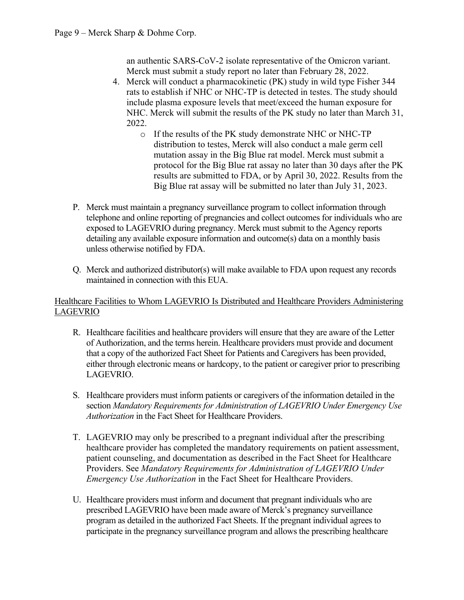an authentic SARS-CoV-2 isolate representative of the Omicron variant. Merck must submit a study report no later than February 28, 2022.

- 4. Merck will conduct a pharmacokinetic (PK) study in wild type Fisher 344 rats to establish if NHC or NHC-TP is detected in testes. The study should include plasma exposure levels that meet/exceed the human exposure for NHC. Merck will submit the results of the PK study no later than March 31, 2022.
	- o If the results of the PK study demonstrate NHC or NHC-TP distribution to testes, Merck will also conduct a male germ cell mutation assay in the Big Blue rat model. Merck must submit a protocol for the Big Blue rat assay no later than 30 days after the PK results are submitted to FDA, or by April 30, 2022. Results from the Big Blue rat assay will be submitted no later than July 31, 2023.
- P. Merck must maintain a pregnancy surveillance program to collect information through telephone and online reporting of pregnancies and collect outcomes for individuals who are exposed to LAGEVRIO during pregnancy. Merck must submit to the Agency reports detailing any available exposure information and outcome(s) data on a monthly basis unless otherwise notified by FDA.
- Q. Merck and authorized distributor(s) will make available to FDA upon request any records maintained in connection with this EUA.

### Healthcare Facilities to Whom LAGEVRIO Is Distributed and Healthcare Providers Administering LAGEVRIO

- R. Healthcare facilities and healthcare providers will ensure that they are aware of the Letter of Authorization, and the terms herein. Healthcare providers must provide and document that a copy of the authorized Fact Sheet for Patients and Caregivers has been provided, either through electronic means or hardcopy, to the patient or caregiver prior to prescribing LAGEVRIO.
- S. Healthcare providers must inform patients or caregivers of the information detailed in the section *Mandatory Requirements for Administration of LAGEVRIO Under Emergency Use Authorization* in the Fact Sheet for Healthcare Providers.
- T. LAGEVRIO may only be prescribed to a pregnant individual after the prescribing healthcare provider has completed the mandatory requirements on patient assessment, patient counseling, and documentation as described in the Fact Sheet for Healthcare Providers. See *Mandatory Requirements for Administration of LAGEVRIO Under Emergency Use Authorization* in the Fact Sheet for Healthcare Providers.
- U. Healthcare providers must inform and document that pregnant individuals who are prescribed LAGEVRIO have been made aware of Merck's pregnancy surveillance program as detailed in the authorized Fact Sheets. If the pregnant individual agrees to participate in the pregnancy surveillance program and allows the prescribing healthcare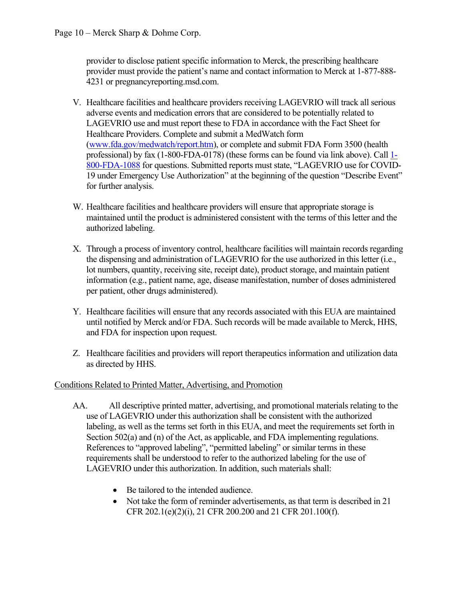provider to disclose patient specific information to Merck, the prescribing healthcare provider must provide the patient's name and contact information to Merck at 1-877-888- 4231 or pregnancyreporting.msd.com.

- V. Healthcare facilities and healthcare providers receiving LAGEVRIO will track all serious adverse events and medication errors that are considered to be potentially related to LAGEVRIO use and must report these to FDA in accordance with the Fact Sheet for Healthcare Providers. Complete and submit a MedWatch form [\(www.fda.gov/medwatch/report.htm\)](http://www.fda.gov/medwatch/report.htm), or complete and submit FDA Form 3500 (health professional) by fax (1-800-FDA-0178) (these forms can be found via link above). Call [1-](http://www.fda.gov/medwatch%20or%20call%201-800-FDA-1088) [800-FDA-1088](http://www.fda.gov/medwatch%20or%20call%201-800-FDA-1088) for questions. Submitted reports must state, "LAGEVRIO use for COVID-19 under Emergency Use Authorization" at the beginning of the question "Describe Event" for further analysis.
- W. Healthcare facilities and healthcare providers will ensure that appropriate storage is maintained until the product is administered consistent with the terms of this letter and the authorized labeling.
- X. Through a process of inventory control, healthcare facilities will maintain records regarding the dispensing and administration of LAGEVRIO for the use authorized in this letter (i.e., lot numbers, quantity, receiving site, receipt date), product storage, and maintain patient information (e.g., patient name, age, disease manifestation, number of doses administered per patient, other drugs administered).
- Y. Healthcare facilities will ensure that any records associated with this EUA are maintained until notified by Merck and/or FDA. Such records will be made available to Merck, HHS, and FDA for inspection upon request.
- Z. Healthcare facilities and providers will report therapeutics information and utilization data as directed by HHS.

### Conditions Related to Printed Matter, Advertising, and Promotion

- AA. All descriptive printed matter, advertising, and promotional materials relating to the use of LAGEVRIO under this authorization shall be consistent with the authorized labeling, as well as the terms set forth in this EUA, and meet the requirements set forth in Section 502(a) and (n) of the Act, as applicable, and FDA implementing regulations. References to "approved labeling", "permitted labeling" or similar terms in these requirements shall be understood to refer to the authorized labeling for the use of LAGEVRIO under this authorization. In addition, such materials shall:
	- Be tailored to the intended audience.
	- Not take the form of reminder advertisements, as that term is described in 21 CFR 202.1(e)(2)(i), 21 CFR 200.200 and 21 CFR 201.100(f).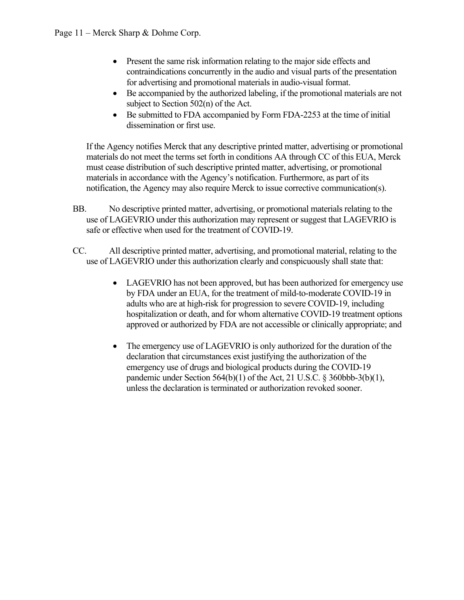- Present the same risk information relating to the major side effects and contraindications concurrently in the audio and visual parts of the presentation for advertising and promotional materials in audio-visual format.
- Be accompanied by the authorized labeling, if the promotional materials are not subject to Section 502(n) of the Act.
- Be submitted to FDA accompanied by Form FDA-2253 at the time of initial dissemination or first use.

If the Agency notifies Merck that any descriptive printed matter, advertising or promotional materials do not meet the terms set forth in conditions AA through CC of this EUA, Merck must cease distribution of such descriptive printed matter, advertising, or promotional materials in accordance with the Agency's notification. Furthermore, as part of its notification, the Agency may also require Merck to issue corrective communication(s).

- BB. No descriptive printed matter, advertising, or promotional materials relating to the use of LAGEVRIO under this authorization may represent or suggest that LAGEVRIO is safe or effective when used for the treatment of COVID-19.
- CC. All descriptive printed matter, advertising, and promotional material, relating to the use of LAGEVRIO under this authorization clearly and conspicuously shall state that:
	- LAGEVRIO has not been approved, but has been authorized for emergency use by FDA under an EUA, for the treatment of mild-to-moderate COVID-19 in adults who are at high-risk for progression to severe COVID-19, including hospitalization or death, and for whom alternative COVID-19 treatment options approved or authorized by FDA are not accessible or clinically appropriate; and
	- The emergency use of LAGEVRIO is only authorized for the duration of the declaration that circumstances exist justifying the authorization of the emergency use of drugs and biological products during the COVID-19 pandemic under Section 564(b)(1) of the Act, 21 U.S.C. § 360bbb-3(b)(1), unless the declaration is terminated or authorization revoked sooner.